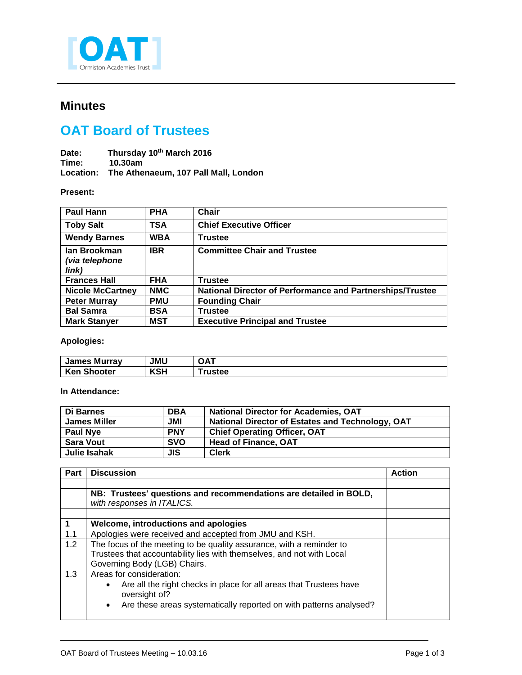

# **Minutes**

# **OAT Board of Trustees**

Date: Thursday 10<sup>th</sup> March 2016<br>Time: 10.30am **Time: 10.30am Location: The Athenaeum, 107 Pall Mall, London**

#### **Present:**

| <b>Paul Hann</b>                               | <b>PHA</b> | Chair                                                            |
|------------------------------------------------|------------|------------------------------------------------------------------|
| <b>Toby Salt</b>                               | TSA        | <b>Chief Executive Officer</b>                                   |
| <b>Wendy Barnes</b>                            | <b>WBA</b> | <b>Trustee</b>                                                   |
| lan Brookman<br><i>(via telephone</i><br>link) | <b>IBR</b> | <b>Committee Chair and Trustee</b>                               |
| <b>Frances Hall</b>                            | <b>FHA</b> | <b>Trustee</b>                                                   |
| <b>Nicole McCartney</b>                        | <b>NMC</b> | <b>National Director of Performance and Partnerships/Trustee</b> |
| <b>Peter Murray</b>                            | <b>PMU</b> | <b>Founding Chair</b>                                            |
| <b>Bal Samra</b>                               | <b>BSA</b> | <b>Trustee</b>                                                   |
| <b>Mark Stanyer</b>                            | <b>MST</b> | <b>Executive Principal and Trustee</b>                           |

## **Apologies:**

| <b>James Murray</b> | <b>JMU</b> | OA.    |
|---------------------|------------|--------|
| <b>Ken Shooter</b>  | <b>KSH</b> | rustee |

### **In Attendance:**

| Di Barnes           | <b>DBA</b> | <b>National Director for Academies, OAT</b>      |
|---------------------|------------|--------------------------------------------------|
| <b>James Miller</b> | JMI        | National Director of Estates and Technology, OAT |
| <b>Paul Nye</b>     | <b>PNY</b> | <b>Chief Operating Officer, OAT</b>              |
| <b>Sara Vout</b>    | <b>SVO</b> | <b>Head of Finance, OAT</b>                      |
| Julie Isahak        | <b>JIS</b> | <b>Clerk</b>                                     |

| <b>Part</b> | <b>Discussion</b>                                                               | <b>Action</b> |
|-------------|---------------------------------------------------------------------------------|---------------|
|             |                                                                                 |               |
|             | NB: Trustees' questions and recommendations are detailed in BOLD,               |               |
|             | with responses in ITALICS.                                                      |               |
|             |                                                                                 |               |
|             | Welcome, introductions and apologies                                            |               |
| 1.1         | Apologies were received and accepted from JMU and KSH.                          |               |
| 1.2         | The focus of the meeting to be quality assurance, with a reminder to            |               |
|             | Trustees that accountability lies with themselves, and not with Local           |               |
|             | Governing Body (LGB) Chairs.                                                    |               |
| 1.3         | Areas for consideration:                                                        |               |
|             | Are all the right checks in place for all areas that Trustees have<br>$\bullet$ |               |
|             | oversight of?                                                                   |               |
|             | Are these areas systematically reported on with patterns analysed?<br>$\bullet$ |               |
|             |                                                                                 |               |

j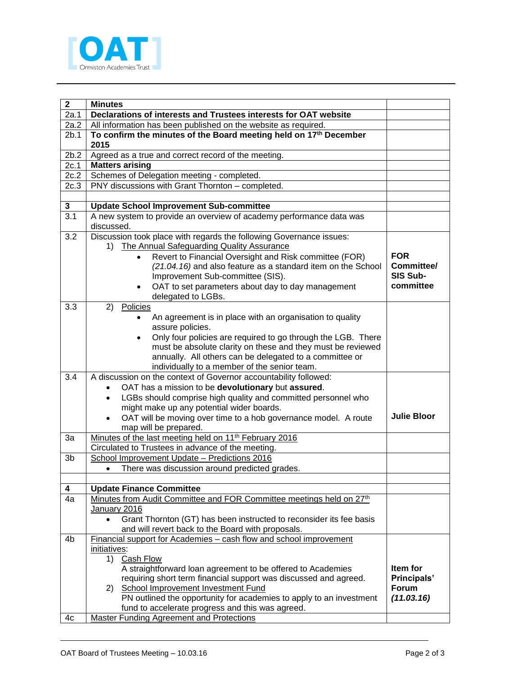

| $\mathbf{2}$     | <b>Minutes</b>                                                                                                                           |                    |  |
|------------------|------------------------------------------------------------------------------------------------------------------------------------------|--------------------|--|
| 2a.1             | Declarations of interests and Trustees interests for OAT website                                                                         |                    |  |
| 2a.2             | All information has been published on the website as required.                                                                           |                    |  |
| 2b.1             | To confirm the minutes of the Board meeting held on 17th December                                                                        |                    |  |
|                  | 2015                                                                                                                                     |                    |  |
| 2b.2             | Agreed as a true and correct record of the meeting.                                                                                      |                    |  |
| 2c.1             | <b>Matters arising</b>                                                                                                                   |                    |  |
| 2c.2             | Schemes of Delegation meeting - completed.                                                                                               |                    |  |
| 2c.3             | PNY discussions with Grant Thornton - completed.                                                                                         |                    |  |
|                  |                                                                                                                                          |                    |  |
| 3                | <b>Update School Improvement Sub-committee</b>                                                                                           |                    |  |
| $\overline{3.1}$ | A new system to provide an overview of academy performance data was<br>discussed.                                                        |                    |  |
| 3.2              | Discussion took place with regards the following Governance issues:                                                                      |                    |  |
|                  | 1) The Annual Safeguarding Quality Assurance                                                                                             |                    |  |
|                  | Revert to Financial Oversight and Risk committee (FOR)<br>$\bullet$                                                                      | <b>FOR</b>         |  |
|                  | (21.04.16) and also feature as a standard item on the School                                                                             | Committee/         |  |
|                  | Improvement Sub-committee (SIS).                                                                                                         | SIS Sub-           |  |
|                  | OAT to set parameters about day to day management<br>$\bullet$                                                                           | committee          |  |
|                  | delegated to LGBs.                                                                                                                       |                    |  |
| 3.3              | 2)<br>Policies                                                                                                                           |                    |  |
|                  | An agreement is in place with an organisation to quality                                                                                 |                    |  |
|                  | assure policies.                                                                                                                         |                    |  |
|                  | Only four policies are required to go through the LGB. There<br>$\bullet$<br>must be absolute clarity on these and they must be reviewed |                    |  |
|                  | annually. All others can be delegated to a committee or                                                                                  |                    |  |
|                  | individually to a member of the senior team.                                                                                             |                    |  |
| 3.4              | A discussion on the context of Governor accountability followed:                                                                         |                    |  |
|                  | OAT has a mission to be devolutionary but assured.<br>$\bullet$                                                                          |                    |  |
|                  | LGBs should comprise high quality and committed personnel who<br>$\bullet$                                                               |                    |  |
|                  | might make up any potential wider boards.                                                                                                |                    |  |
|                  | OAT will be moving over time to a hob governance model. A route<br>$\bullet$                                                             | <b>Julie Bloor</b> |  |
|                  | map will be prepared.                                                                                                                    |                    |  |
| 3a               | Minutes of the last meeting held on 11 <sup>th</sup> February 2016                                                                       |                    |  |
|                  | Circulated to Trustees in advance of the meeting.                                                                                        |                    |  |
| 3b               | School Improvement Update - Predictions 2016                                                                                             |                    |  |
|                  | There was discussion around predicted grades.<br>$\bullet$                                                                               |                    |  |
|                  |                                                                                                                                          |                    |  |
| 4                | <b>Update Finance Committee</b>                                                                                                          |                    |  |
| 4a               | Minutes from Audit Committee and FOR Committee meetings held on 27 <sup>th</sup>                                                         |                    |  |
|                  | January 2016                                                                                                                             |                    |  |
|                  | Grant Thornton (GT) has been instructed to reconsider its fee basis<br>$\bullet$<br>and will revert back to the Board with proposals.    |                    |  |
| 4b               | Financial support for Academies - cash flow and school improvement                                                                       |                    |  |
|                  | initiatives:                                                                                                                             |                    |  |
|                  | 1)<br>Cash Flow                                                                                                                          |                    |  |
|                  | A straightforward loan agreement to be offered to Academies                                                                              | Item for           |  |
|                  | requiring short term financial support was discussed and agreed.                                                                         | Principals'        |  |
|                  | <b>School Improvement Investment Fund</b><br>2)                                                                                          | <b>Forum</b>       |  |
|                  | PN outlined the opportunity for academies to apply to an investment                                                                      | (11.03.16)         |  |
|                  | fund to accelerate progress and this was agreed.                                                                                         |                    |  |
| 4c               | <b>Master Funding Agreement and Protections</b>                                                                                          |                    |  |

j